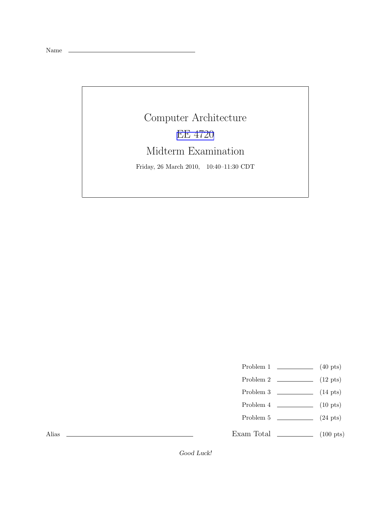Name

Computer Architecture [EE 4720](http://www.ece.lsu.edu/ee4720/) Midterm Examination Friday, 26 March 2010, 10:40–11:30 CDT

Problem 1  $\qquad \qquad$  (40 pts)

- Problem 2  $\qquad \qquad$  (12 pts)
- Problem 3 (14 pts)
- Problem 4  $\qquad \qquad$  (10 pts)
- Problem 5  $\qquad \qquad (24 \text{ pts})$

Exam Total \_\_\_\_\_\_\_\_\_\_\_\_\_\_ (100 pts)

Alias

Good Luck!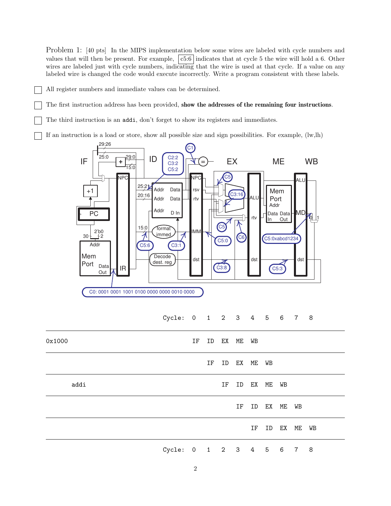Problem 1: [40 pts] In the MIPS implementation below some wires are labeled with cycle numbers and values that will then be present. For example,  $|c5:6|$  indicates that at cycle 5 the wire will hold a 6. Other wires are labeled just with cycle numbers, indicating that the wire is used at that cycle. If a value on any labeled wire is changed the code would execute incorrectly. Write a program consistent with these labels.

- All register numbers and immediate values can be determined.
- The first instruction address has been provided, show the addresses of the remaining four instructions.

The third instruction is an addi, don't forget to show its registers and immediates.

If an instruction is a load or store, show all possible size and sign possibilities. For example, (lw,lh)



## Cycle: 0 1 2 3 4 5 6 7 8

| 0x1000 |                          | IF ID EX ME WB |    |                |  |                |  |
|--------|--------------------------|----------------|----|----------------|--|----------------|--|
|        |                          |                |    | IF ID EX ME WB |  |                |  |
| addi   |                          |                |    | IF ID EX ME WB |  |                |  |
|        |                          |                | IF | ID EX ME WB    |  |                |  |
|        |                          |                |    |                |  | IF ID EX ME WB |  |
|        | Cycle: 0 1 2 3 4 5 6 7 8 |                |    |                |  |                |  |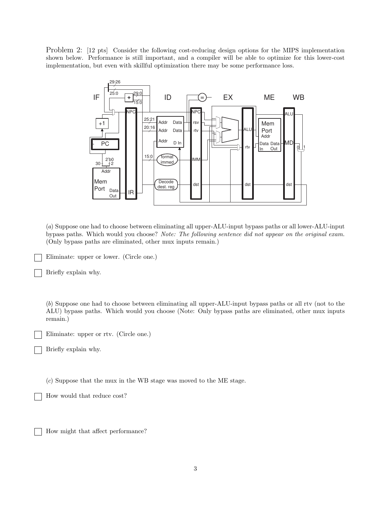Problem 2: [12 pts] Consider the following cost-reducing design options for the MIPS implementation shown below. Performance is still important, and a compiler will be able to optimize for this lower-cost implementation, but even with skillful optimization there may be some performance loss.



(a) Suppose one had to choose between eliminating all upper-ALU-input bypass paths or all lower-ALU-input bypass paths. Which would you choose? Note: The following sentence did not appear on the original exam. (Only bypass paths are eliminated, other mux inputs remain.)

Eliminate: upper or lower. (Circle one.)

Briefly explain why.

(b) Suppose one had to choose between eliminating all upper-ALU-input bypass paths or all rtv (not to the ALU) bypass paths. Which would you choose (Note: Only bypass paths are eliminated, other mux inputs remain.)

Eliminate: upper or rtv. (Circle one.)

Briefly explain why.

(c) Suppose that the mux in the WB stage was moved to the ME stage.

How would that reduce cost?

How might that affect performance?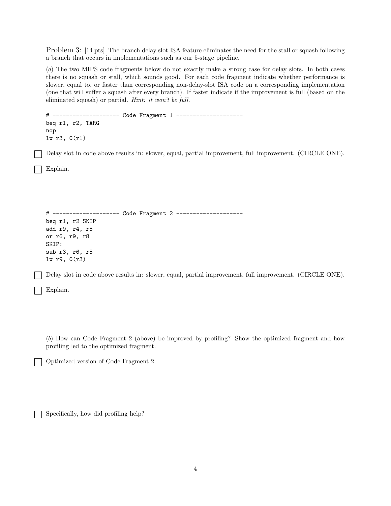Problem 3: [14 pts] The branch delay slot ISA feature eliminates the need for the stall or squash following a branch that occurs in implementations such as our 5-stage pipeline.

(a) The two MIPS code fragments below do not exactly make a strong case for delay slots. In both cases there is no squash or stall, which sounds good. For each code fragment indicate whether performance is slower, equal to, or faster than corresponding non-delay-slot ISA code on a corresponding implementation (one that will suffer a squash after every branch). If faster indicate if the improvement is full (based on the eliminated squash) or partial. Hint: it won't be full.

```
# -------------------- Code Fragment 1 --------------------
beq r1, r2, TARG
nop
lw r3, 0(r1)
```
Delay slot in code above results in: slower, equal, partial improvement, full improvement. (CIRCLE ONE).

Explain.

```
# -------------------- Code Fragment 2 --------------------
beq r1, r2 SKIP
add r9, r4, r5
or r6, r9, r8
SKIP:
sub r3, r6, r5
lw r9, 0(r3)
```
Delay slot in code above results in: slower, equal, partial improvement, full improvement. (CIRCLE ONE).

Explain.

(b) How can Code Fragment 2 (above) be improved by profiling? Show the optimized fragment and how profiling led to the optimized fragment.

Optimized version of Code Fragment 2

Specifically, how did profiling help?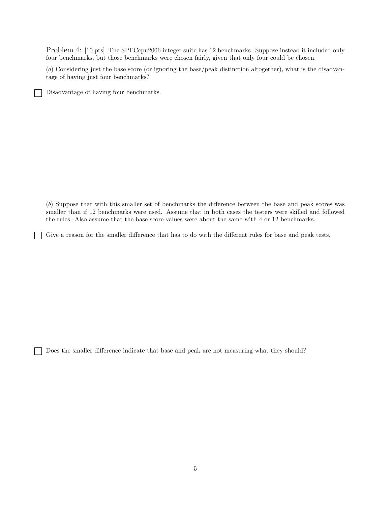Problem 4: [10 pts] The SPECcpu2006 integer suite has 12 benchmarks. Suppose instead it included only four benchmarks, but those benchmarks were chosen fairly, given that only four could be chosen.

(a) Considering just the base score (or ignoring the base/peak distinction altogether), what is the disadvantage of having just four benchmarks?

Disadvantage of having four benchmarks.

(b) Suppose that with this smaller set of benchmarks the difference between the base and peak scores was smaller than if 12 benchmarks were used. Assume that in both cases the testers were skilled and followed the rules. Also assume that the base score values were about the same with 4 or 12 benchmarks.

Give a reason for the smaller difference that has to do with the different rules for base and peak tests.

Does the smaller difference indicate that base and peak are not measuring what they should?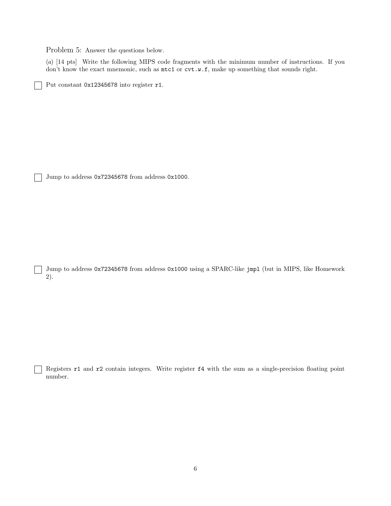Problem 5: Answer the questions below.

(a) [14 pts] Write the following MIPS code fragments with the minimum number of instructions. If you don't know the exact mnemonic, such as  $m \text{t}$  or  $\text{cvt.w.f}$ , make up something that sounds right.

Put constant 0x12345678 into register r1.

Jump to address 0x72345678 from address 0x1000.

 $\overline{\phantom{a}}$ 

Jump to address 0x72345678 from address 0x1000 using a SPARC-like jmpl (but in MIPS, like Homework 2).

Registers r1 and r2 contain integers. Write register f4 with the sum as a single-precision floating point number.